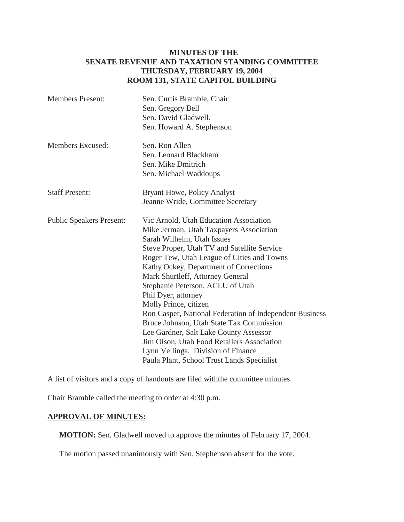### **MINUTES OF THE SENATE REVENUE AND TAXATION STANDING COMMITTEE THURSDAY, FEBRUARY 19, 2004 ROOM 131, STATE CAPITOL BUILDING**

| <b>Members Present:</b>         | Sen. Curtis Bramble, Chair                              |
|---------------------------------|---------------------------------------------------------|
|                                 | Sen. Gregory Bell                                       |
|                                 | Sen. David Gladwell.                                    |
|                                 | Sen. Howard A. Stephenson                               |
| Members Excused:                | Sen. Ron Allen                                          |
|                                 | Sen. Leonard Blackham                                   |
|                                 | Sen. Mike Dmitrich                                      |
|                                 | Sen. Michael Waddoups                                   |
| <b>Staff Present:</b>           | Bryant Howe, Policy Analyst                             |
|                                 | Jeanne Wride, Committee Secretary                       |
| <b>Public Speakers Present:</b> | Vic Arnold, Utah Education Association                  |
|                                 | Mike Jerman, Utah Taxpayers Association                 |
|                                 | Sarah Wilhelm, Utah Issues                              |
|                                 | Steve Proper, Utah TV and Satellite Service             |
|                                 | Roger Tew, Utah League of Cities and Towns              |
|                                 | Kathy Ockey, Department of Corrections                  |
|                                 | Mark Shurtleff, Attorney General                        |
|                                 | Stephanie Peterson, ACLU of Utah                        |
|                                 | Phil Dyer, attorney                                     |
|                                 | Molly Prince, citizen                                   |
|                                 | Ron Casper, National Federation of Independent Business |
|                                 | Bruce Johnson, Utah State Tax Commission                |
|                                 | Lee Gardner, Salt Lake County Assessor                  |
|                                 | Jim Olson, Utah Food Retailers Association              |
|                                 | Lynn Vellinga, Division of Finance                      |
|                                 | Paula Plant, School Trust Lands Specialist              |
|                                 |                                                         |

A list of visitors and a copy of handouts are filed withthe committee minutes.

Chair Bramble called the meeting to order at 4:30 p.m.

### **APPROVAL OF MINUTES:**

**MOTION:** Sen. Gladwell moved to approve the minutes of February 17, 2004.

The motion passed unanimously with Sen. Stephenson absent for the vote.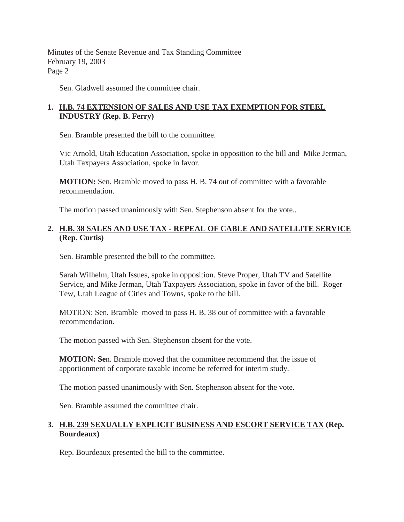Sen. Gladwell assumed the committee chair.

# **1. H.B. 74 EXTENSION OF SALES AND USE TAX EXEMPTION FOR STEEL INDUSTRY (Rep. B. Ferry)**

Sen. Bramble presented the bill to the committee.

Vic Arnold, Utah Education Association, spoke in opposition to the bill and Mike Jerman, Utah Taxpayers Association, spoke in favor.

**MOTION:** Sen. Bramble moved to pass H. B. 74 out of committee with a favorable recommendation.

The motion passed unanimously with Sen. Stephenson absent for the vote..

# **2. H.B. 38 SALES AND USE TAX - REPEAL OF CABLE AND SATELLITE SERVICE (Rep. Curtis)**

Sen. Bramble presented the bill to the committee.

Sarah Wilhelm, Utah Issues, spoke in opposition. Steve Proper, Utah TV and Satellite Service, and Mike Jerman, Utah Taxpayers Association, spoke in favor of the bill. Roger Tew, Utah League of Cities and Towns, spoke to the bill.

MOTION: Sen. Bramble moved to pass H. B. 38 out of committee with a favorable recommendation.

The motion passed with Sen. Stephenson absent for the vote.

**MOTION: Se**n. Bramble moved that the committee recommend that the issue of apportionment of corporate taxable income be referred for interim study.

The motion passed unanimously with Sen. Stephenson absent for the vote.

Sen. Bramble assumed the committee chair.

# **3. H.B. 239 SEXUALLY EXPLICIT BUSINESS AND ESCORT SERVICE TAX (Rep. Bourdeaux)**

Rep. Bourdeaux presented the bill to the committee.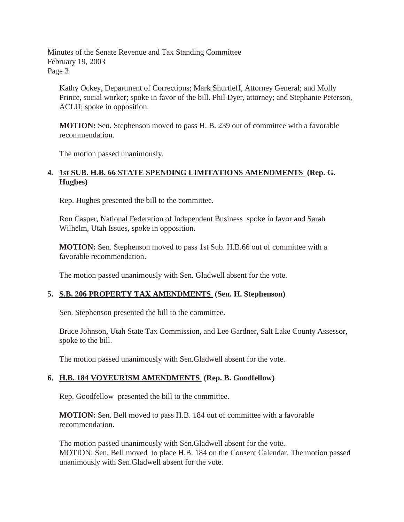Kathy Ockey, Department of Corrections; Mark Shurtleff, Attorney General; and Molly Prince, social worker; spoke in favor of the bill. Phil Dyer, attorney; and Stephanie Peterson, ACLU; spoke in opposition.

 **MOTION:** Sen. Stephenson moved to pass H. B. 239 out of committee with a favorable recommendation.

The motion passed unanimously.

### **4. 1st SUB. H.B. 66 STATE SPENDING LIMITATIONS AMENDMENTS (Rep. G. Hughes)**

Rep. Hughes presented the bill to the committee.

Ron Casper, National Federation of Independent Business spoke in favor and Sarah Wilhelm, Utah Issues, spoke in opposition.

**MOTION:** Sen. Stephenson moved to pass 1st Sub. H.B.66 out of committee with a favorable recommendation.

The motion passed unanimously with Sen. Gladwell absent for the vote.

### **5. S.B. 206 PROPERTY TAX AMENDMENTS (Sen. H. Stephenson)**

Sen. Stephenson presented the bill to the committee.

Bruce Johnson, Utah State Tax Commission, and Lee Gardner, Salt Lake County Assessor, spoke to the bill.

The motion passed unanimously with Sen.Gladwell absent for the vote.

### **6. H.B. 184 VOYEURISM AMENDMENTS (Rep. B. Goodfellow)**

Rep. Goodfellow presented the bill to the committee.

**MOTION:** Sen. Bell moved to pass H.B. 184 out of committee with a favorable recommendation.

The motion passed unanimously with Sen.Gladwell absent for the vote. MOTION: Sen. Bell moved to place H.B. 184 on the Consent Calendar. The motion passed unanimously with Sen.Gladwell absent for the vote.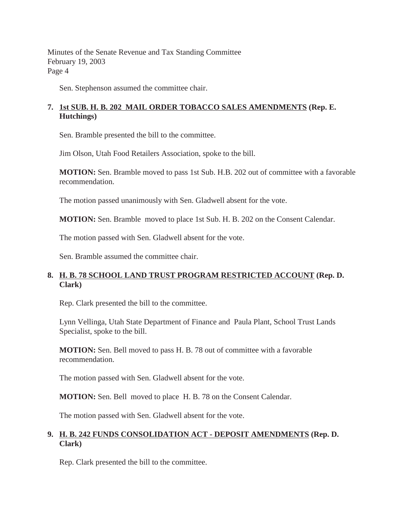Sen. Stephenson assumed the committee chair.

# **7. 1st SUB. H. B. 202 MAIL ORDER TOBACCO SALES AMENDMENTS (Rep. E. Hutchings)**

Sen. Bramble presented the bill to the committee.

Jim Olson, Utah Food Retailers Association, spoke to the bill.

**MOTION:** Sen. Bramble moved to pass 1st Sub. H.B. 202 out of committee with a favorable recommendation.

The motion passed unanimously with Sen. Gladwell absent for the vote.

**MOTION:** Sen. Bramble moved to place 1st Sub. H. B. 202 on the Consent Calendar.

The motion passed with Sen. Gladwell absent for the vote.

Sen. Bramble assumed the committee chair.

# **8. H. B. 78 SCHOOL LAND TRUST PROGRAM RESTRICTED ACCOUNT (Rep. D. Clark)**

Rep. Clark presented the bill to the committee.

Lynn Vellinga, Utah State Department of Finance and Paula Plant, School Trust Lands Specialist, spoke to the bill.

**MOTION:** Sen. Bell moved to pass H. B. 78 out of committee with a favorable recommendation.

The motion passed with Sen. Gladwell absent for the vote.

**MOTION:** Sen. Bell moved to place H. B. 78 on the Consent Calendar.

The motion passed with Sen. Gladwell absent for the vote.

# **9. H. B. 242 FUNDS CONSOLIDATION ACT - DEPOSIT AMENDMENTS (Rep. D. Clark)**

Rep. Clark presented the bill to the committee.